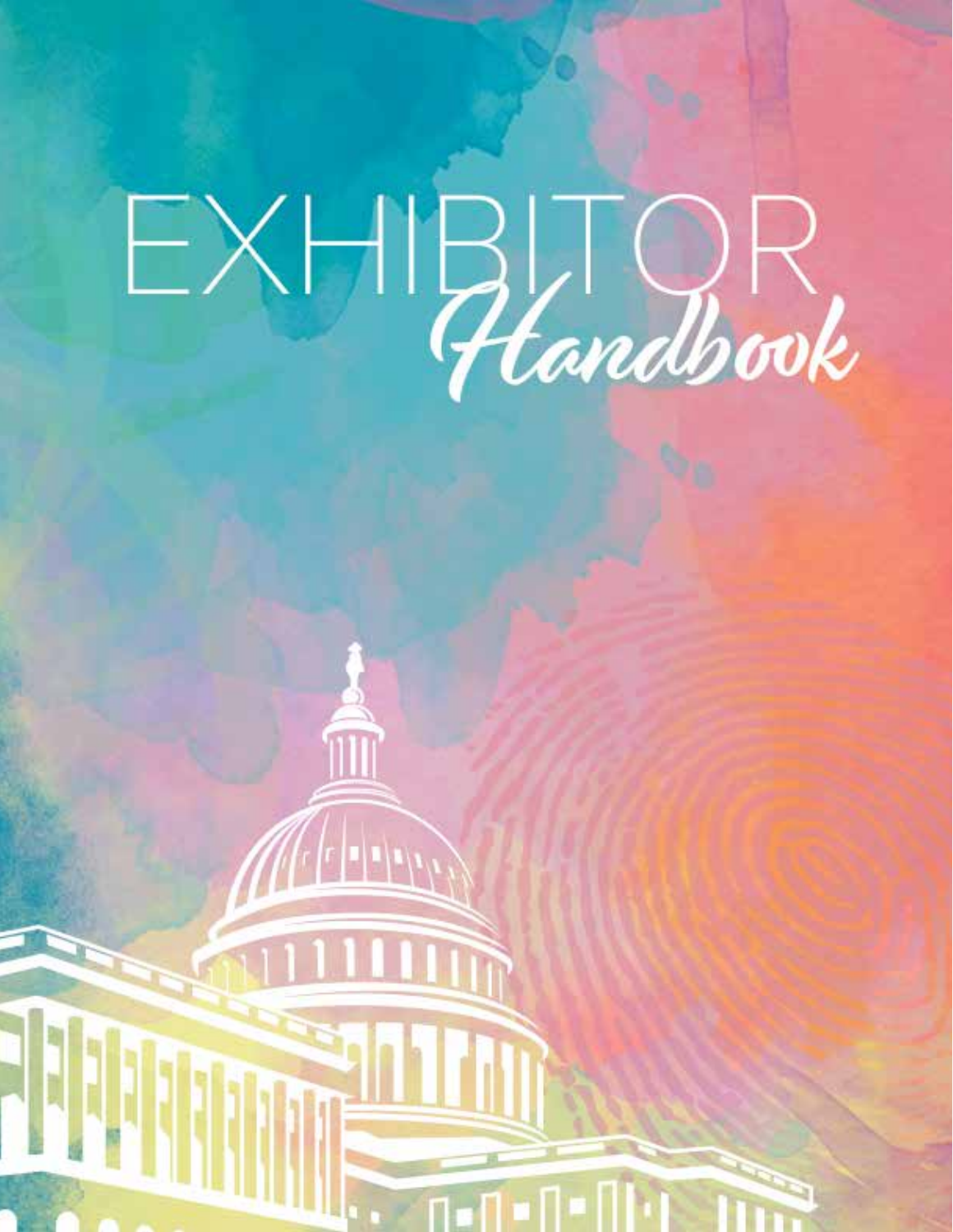# $EXHBTQR$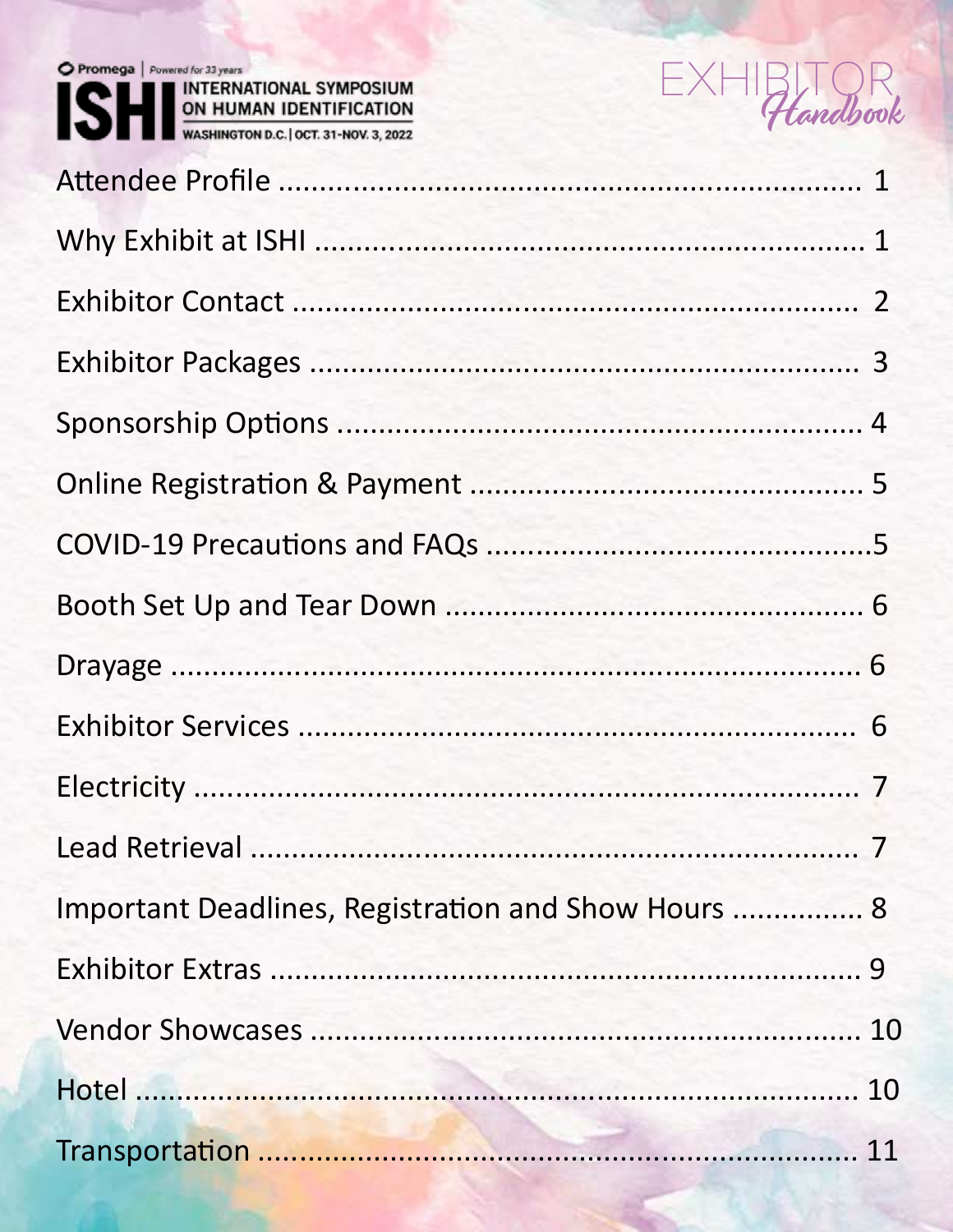| $\sum$ $\prod$ INTERNATIONAL SYMPOSIUM<br>ON HUMAN IDENTIFICATION<br>WASHINGTON D.C.   OCT. 31-NOV. 3, 2022 |  |
|-------------------------------------------------------------------------------------------------------------|--|
|                                                                                                             |  |
|                                                                                                             |  |
|                                                                                                             |  |
|                                                                                                             |  |
|                                                                                                             |  |
|                                                                                                             |  |
|                                                                                                             |  |
|                                                                                                             |  |
|                                                                                                             |  |
|                                                                                                             |  |
|                                                                                                             |  |
|                                                                                                             |  |
| Important Deadlines, Registration and Show Hours  8                                                         |  |
|                                                                                                             |  |
|                                                                                                             |  |
|                                                                                                             |  |
|                                                                                                             |  |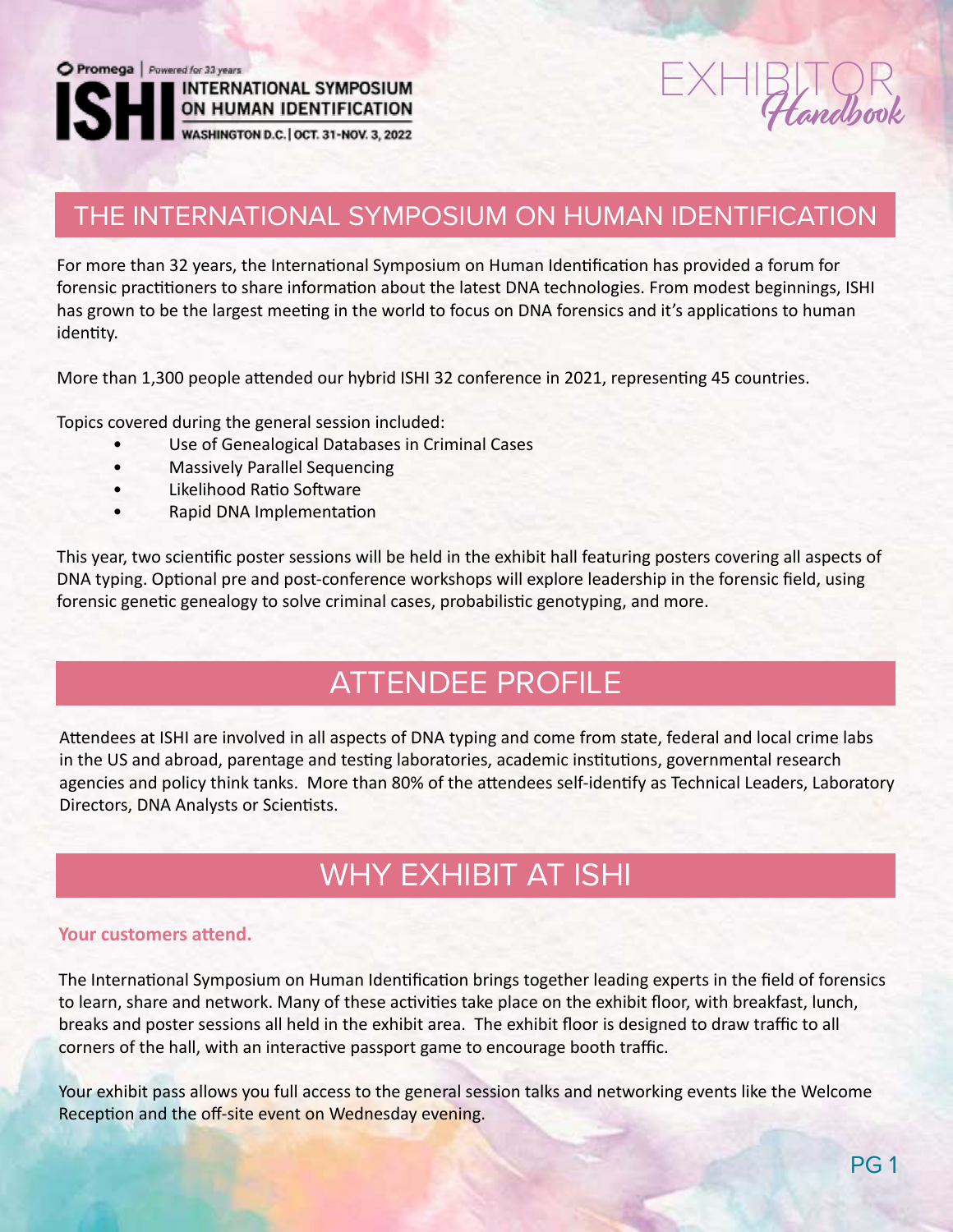ON HUMAN IDENTIFICATION<br>WASHINGTON D.C. | OCT. 31-NOV. 3, 2022



## THE INTERNATIONAL SYMPOSIUM ON HUMAN IDENTIFICATION

For more than 32 years, the International Symposium on Human Identification has provided a forum for forensic practitioners to share information about the latest DNA technologies. From modest beginnings, ISHI has grown to be the largest meeting in the world to focus on DNA forensics and it's applications to human identity.

More than 1,300 people attended our hybrid ISHI 32 conference in 2021, representing 45 countries.

Topics covered during the general session included:

- Use of Genealogical Databases in Criminal Cases
- Massively Parallel Sequencing
- Likelihood Ratio Software
- Rapid DNA Implementation

This year, two scientific poster sessions will be held in the exhibit hall featuring posters covering all aspects of DNA typing. Optional pre and post-conference workshops will explore leadership in the forensic field, using forensic genetic genealogy to solve criminal cases, probabilistic genotyping, and more.

# ATTENDEE PROFILE

Attendees at ISHI are involved in all aspects of DNA typing and come from state, federal and local crime labs in the US and abroad, parentage and testing laboratories, academic institutions, governmental research agencies and policy think tanks. More than 80% of the attendees self-identify as Technical Leaders, Laboratory Directors, DNA Analysts or Scientists.

## WHY EXHIBIT AT ISHI

#### **Your customers attend.**

The International Symposium on Human Identification brings together leading experts in the field of forensics to learn, share and network. Many of these activities take place on the exhibit floor, with breakfast, lunch, breaks and poster sessions all held in the exhibit area. The exhibit floor is designed to draw traffic to all corners of the hall, with an interactive passport game to encourage booth traffic.

Your exhibit pass allows you full access to the general session talks and networking events like the Welcome Reception and the off-site event on Wednesday evening.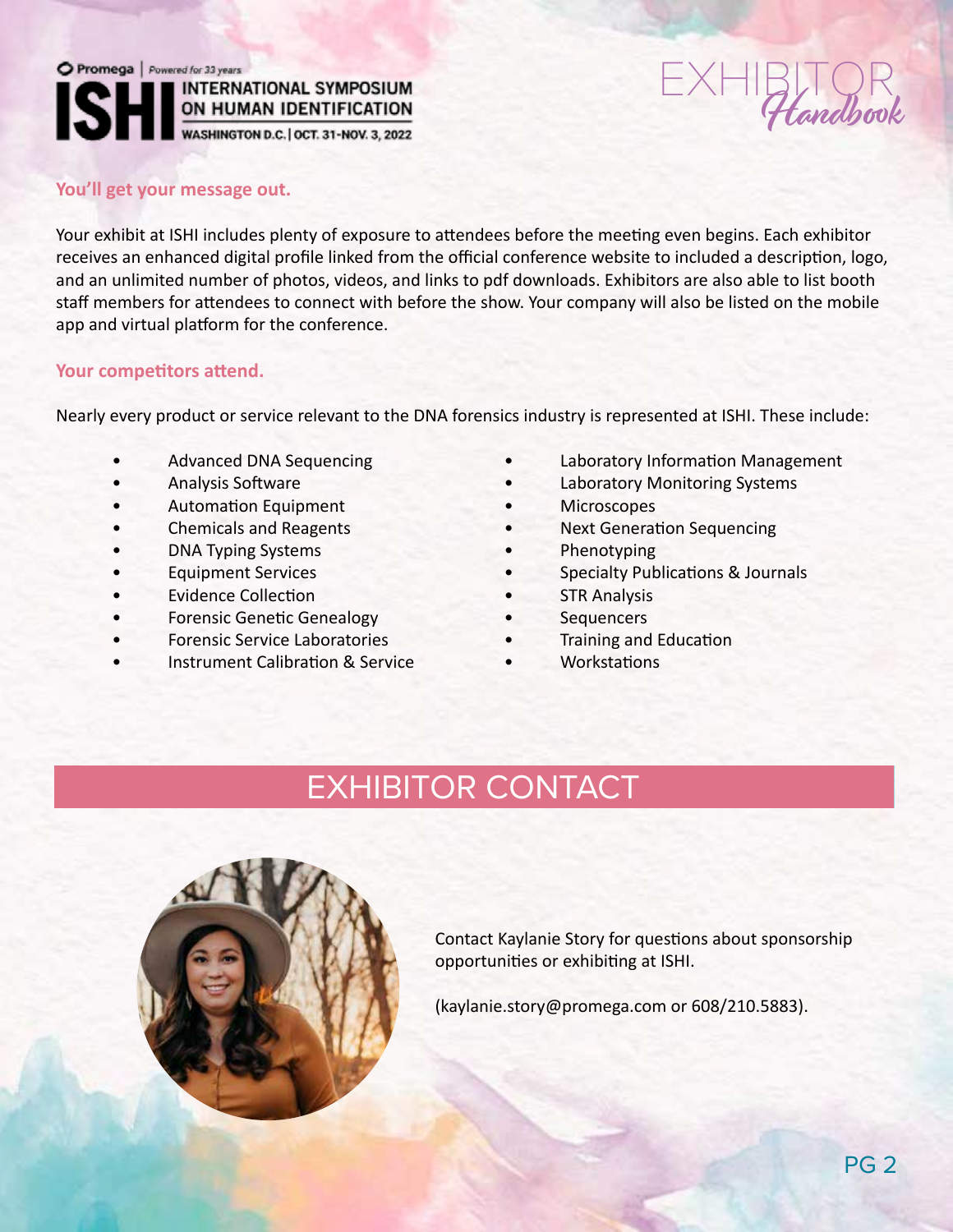



#### **You'll get your message out.**

Your exhibit at ISHI includes plenty of exposure to attendees before the meeting even begins. Each exhibitor receives an enhanced digital profile linked from the official conference website to included a description, logo, and an unlimited number of photos, videos, and links to pdf downloads. Exhibitors are also able to list booth staff members for attendees to connect with before the show. Your company will also be listed on the mobile app and virtual platform for the conference.

#### **Your competitors attend.**

Nearly every product or service relevant to the DNA forensics industry is represented at ISHI. These include:

- 
- 
- Automation Equipment Microscopes
- 
- DNA Typing Systems Phenotyping
- 
- **Evidence Collection •** STR Analysis
- Forensic Genetic Genealogy Sequencers
- 
- Instrument Calibration & Service Workstations
- Advanced DNA Sequencing  **Laboratory Information Management**
- Analysis Software  **Caboratory Monitoring Systems** 
	-
	- Chemicals and Reagents Next Generation Sequencing
		-
	- Equipment Services Specialty Publications & Journals
		-
		-
	- Forensic Service Laboratories Training and Education
		-

## EXHIBITOR CONTACT



Contact Kaylanie Story for questions about sponsorship opportunities or exhibiting at ISHI.

(kaylanie.story@promega.com or 608/210.5883).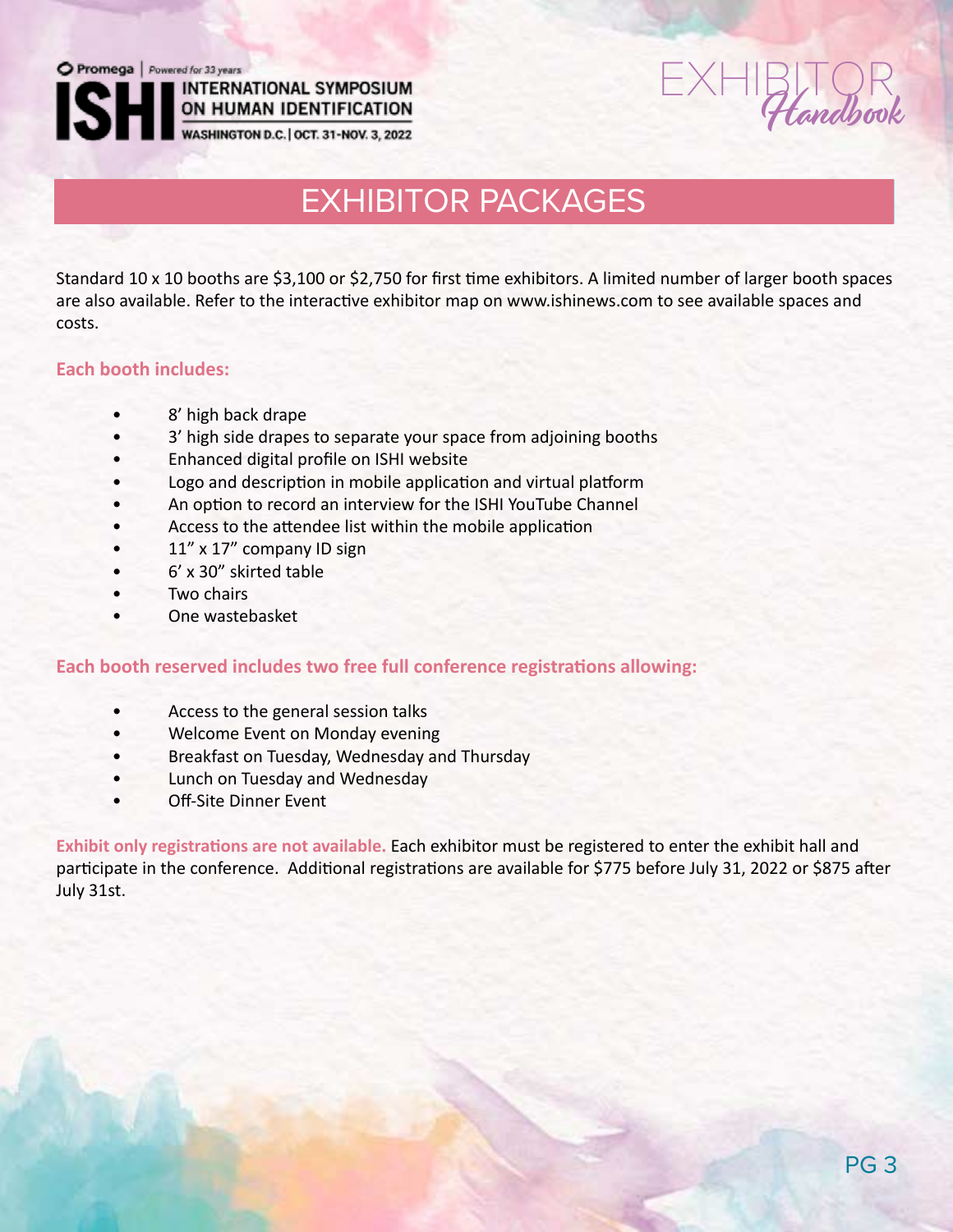# $\sum_{\alpha}$

ON HUMAN IDENTIFICATION<br>WASHINGTON D.C. | OCT. 31-NOV. 3, 2022

# EXHIBITOR PACKAGES

Standard 10 x 10 booths are \$3,100 or \$2,750 for first time exhibitors. A limited number of larger booth spaces are also available. Refer to the interactive exhibitor map on www.ishinews.com to see available spaces and costs.

#### **Each booth includes:**

- 8' high back drape
- 3' high side drapes to separate your space from adjoining booths
- Enhanced digital profile on ISHI website
- Logo and description in mobile application and virtual platform
- An option to record an interview for the ISHI YouTube Channel
- Access to the attendee list within the mobile application
- 11" x 17" company ID sign
- 6' x 30" skirted table
- Two chairs
- One wastebasket

#### **Each booth reserved includes two free full conference registrations allowing:**

- Access to the general session talks
- Welcome Event on Monday evening
- Breakfast on Tuesday, Wednesday and Thursday
- Lunch on Tuesday and Wednesday
- Off-Site Dinner Event

**Exhibit only registrations are not available.** Each exhibitor must be registered to enter the exhibit hall and participate in the conference. Additional registrations are available for \$775 before July 31, 2022 or \$875 after July 31st.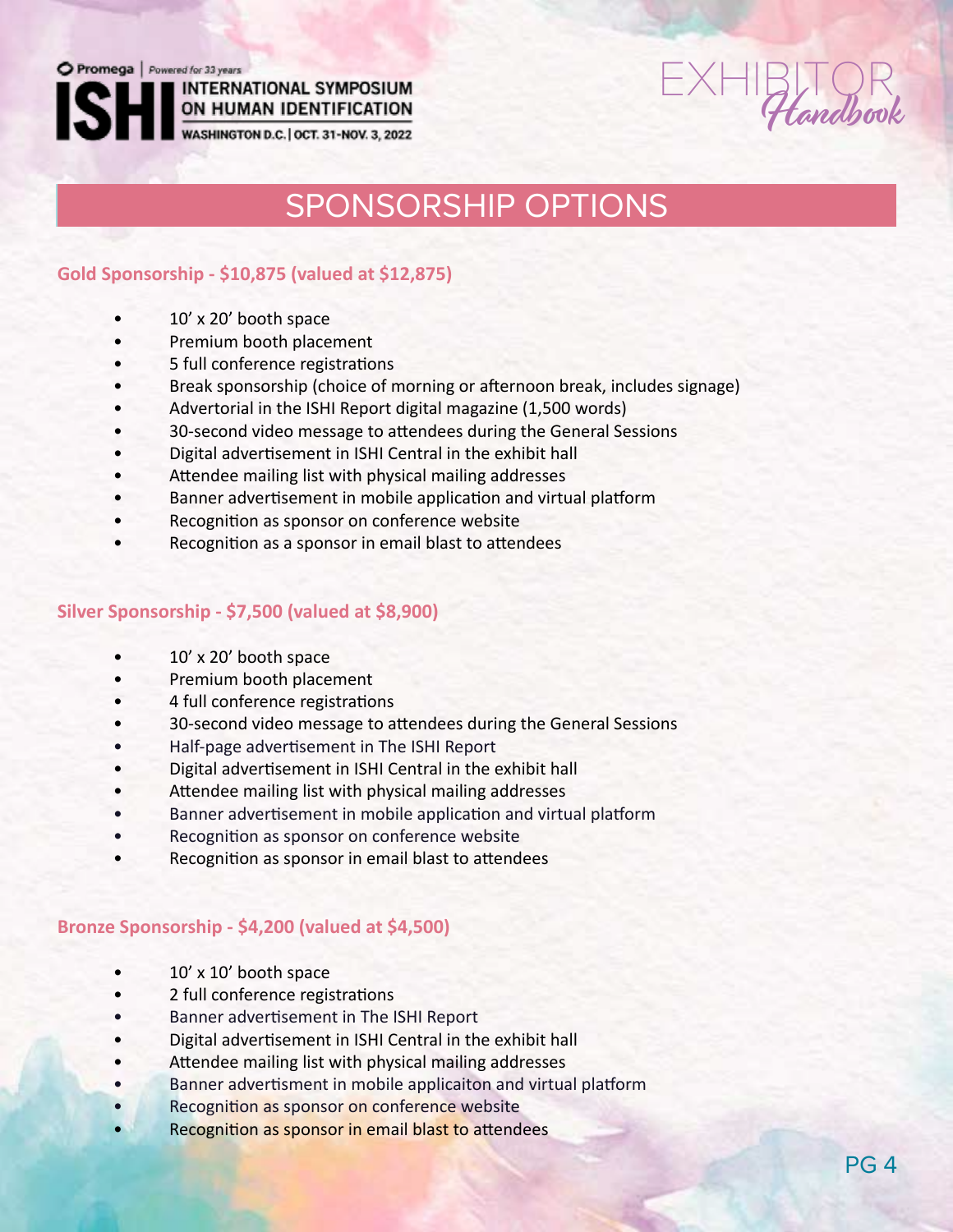Promega | Powered for 33 years

# Extendbook

ON HUMAN IDENTIFICATION<br>WASHINGTON D.C. | OCT. 31-NOV. 3, 2022

**INTERNATIONAL SYMPOSIUM** 

# SPONSORSHIP OPTIONS

## **Gold Sponsorship - \$10,875 (valued at \$12,875)**

- 10' x 20' booth space
- Premium booth placement
- 5 full conference registrations
- Break sponsorship (choice of morning or afternoon break, includes signage)
- Advertorial in the ISHI Report digital magazine (1,500 words)
- 30-second video message to attendees during the General Sessions
- Digital advertisement in ISHI Central in the exhibit hall
- Attendee mailing list with physical mailing addresses
- Banner advertisement in mobile application and virtual platform
- Recognition as sponsor on conference website
- Recognition as a sponsor in email blast to attendees

#### **Silver Sponsorship - \$7,500 (valued at \$8,900)**

- 10' x 20' booth space
- Premium booth placement
- 4 full conference registrations
- 30-second video message to attendees during the General Sessions
- Half-page advertisement in The ISHI Report
- Digital advertisement in ISHI Central in the exhibit hall
- Attendee mailing list with physical mailing addresses
- Banner advertisement in mobile application and virtual platform
- Recognition as sponsor on conference website
- Recognition as sponsor in email blast to attendees

#### **Bronze Sponsorship - \$4,200 (valued at \$4,500)**

- 10' x 10' booth space
- 2 full conference registrations
- Banner advertisement in The ISHI Report
- Digital advertisement in ISHI Central in the exhibit hall
- Attendee mailing list with physical mailing addresses
- Banner advertisment in mobile applicaiton and virtual platform
- Recognition as sponsor on conference website
- Recognition as sponsor in email blast to attendees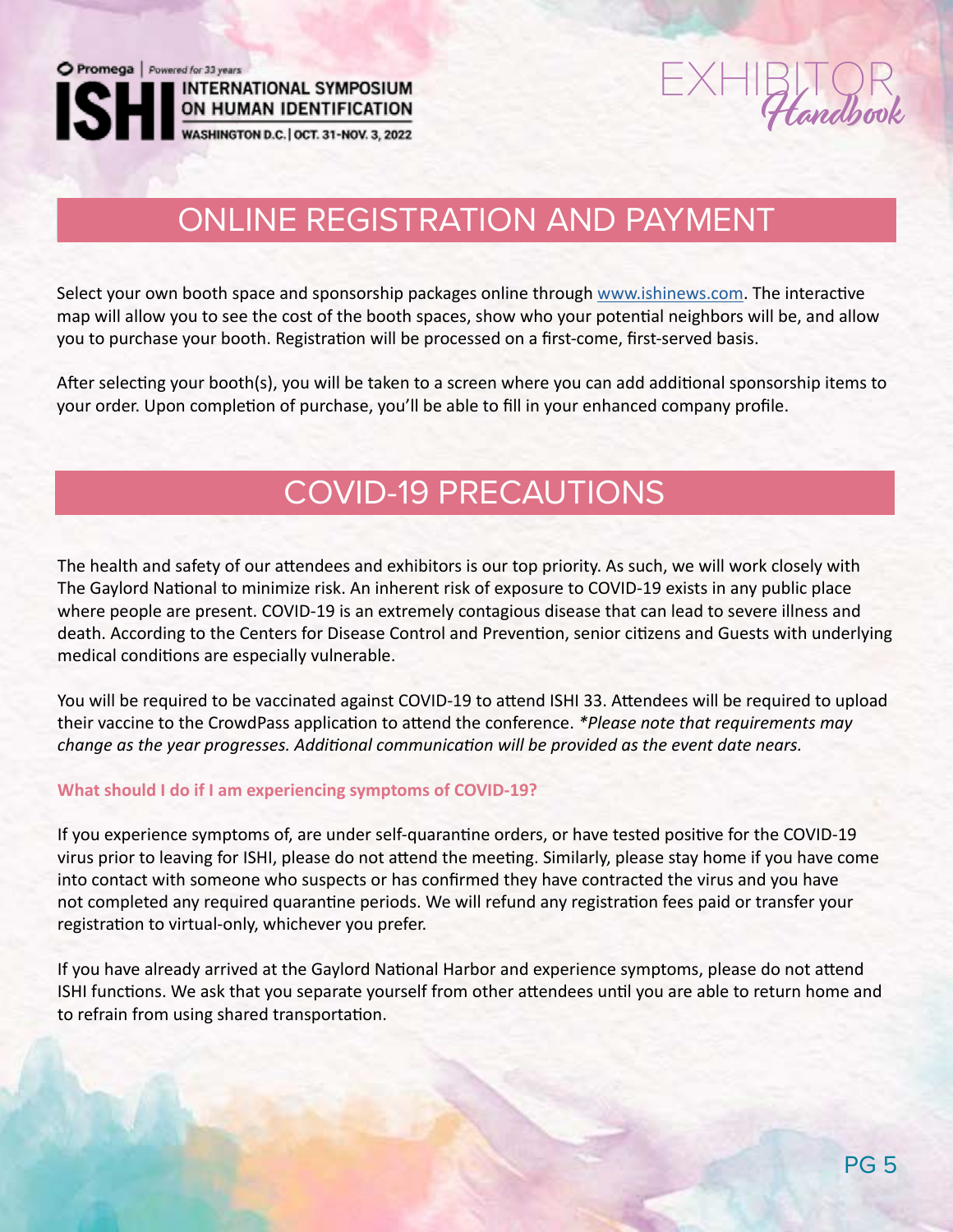ON HUMAN IDENTIFICATION<br>WASHINGTON D.C. | OCT. 31-NOV. 3, 2022

 $EXHIBITQR$ 

# ONLINE REGISTRATION AND PAYMENT

Select your own booth space and sponsorship packages online through www.ishinews.com. The interactive map will allow you to see the cost of the booth spaces, show who your potential neighbors will be, and allow you to purchase your booth. Registration will be processed on a first-come, first-served basis.

After selecting your booth(s), you will be taken to a screen where you can add additional sponsorship items to your order. Upon completion of purchase, you'll be able to fill in your enhanced company profile.

# COVID-19 PRECAUTIONS

The health and safety of our attendees and exhibitors is our top priority. As such, we will work closely with The Gaylord National to minimize risk. An inherent risk of exposure to COVID-19 exists in any public place where people are present. COVID-19 is an extremely contagious disease that can lead to severe illness and death. According to the Centers for Disease Control and Prevention, senior citizens and Guests with underlying medical conditions are especially vulnerable.

You will be required to be vaccinated against COVID-19 to attend ISHI 33. Attendees will be required to upload their vaccine to the CrowdPass application to attend the conference. *\*Please note that requirements may change as the year progresses. Additional communication will be provided as the event date nears.*

#### **What should I do if I am experiencing symptoms of COVID-19?**

If you experience symptoms of, are under self-quarantine orders, or have tested positive for the COVID-19 virus prior to leaving for ISHI, please do not attend the meeting. Similarly, please stay home if you have come into contact with someone who suspects or has confirmed they have contracted the virus and you have not completed any required quarantine periods. We will refund any registration fees paid or transfer your registration to virtual-only, whichever you prefer.

If you have already arrived at the Gaylord National Harbor and experience symptoms, please do not attend ISHI functions. We ask that you separate yourself from other attendees until you are able to return home and to refrain from using shared transportation.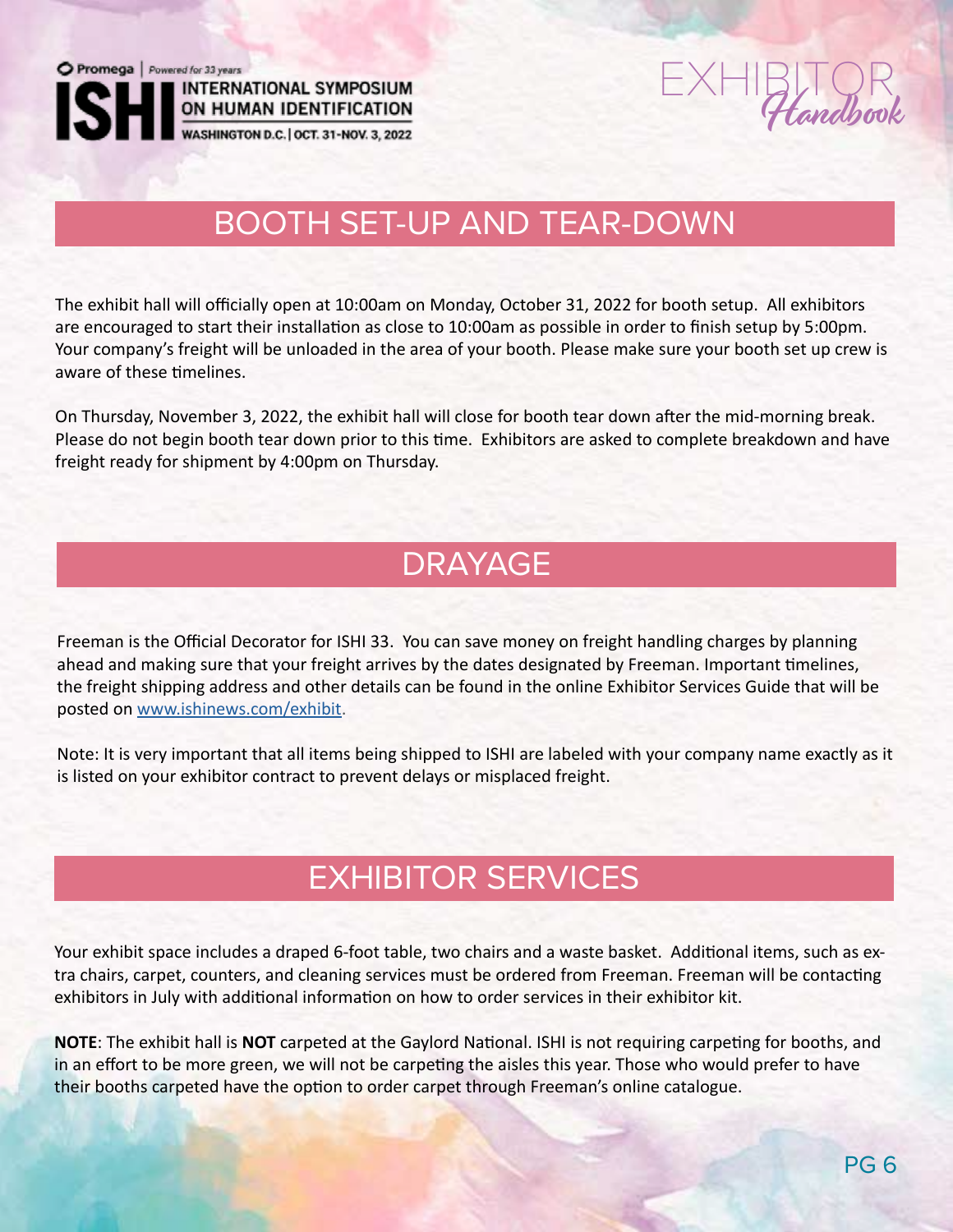ON HUMAN IDENTIFICATION<br>WASHINGTON D.C. | OCT. 31-NOV. 3, 2022

 $EXHIBITQR$ 

# BOOTH SET-UP AND TEAR-DOWN

The exhibit hall will officially open at 10:00am on Monday, October 31, 2022 for booth setup. All exhibitors are encouraged to start their installation as close to 10:00am as possible in order to finish setup by 5:00pm. Your company's freight will be unloaded in the area of your booth. Please make sure your booth set up crew is aware of these timelines.

On Thursday, November 3, 2022, the exhibit hall will close for booth tear down after the mid-morning break. Please do not begin booth tear down prior to this time. Exhibitors are asked to complete breakdown and have freight ready for shipment by 4:00pm on Thursday.

# DRAYAGE

Freeman is the Official Decorator for ISHI 33. You can save money on freight handling charges by planning ahead and making sure that your freight arrives by the dates designated by Freeman. Important timelines, the freight shipping address and other details can be found in the online Exhibitor Services Guide that will be posted on www.ishinews.com/exhibit.

Note: It is very important that all items being shipped to ISHI are labeled with your company name exactly as it is listed on your exhibitor contract to prevent delays or misplaced freight.

# EXHIBITOR SERVICES

Your exhibit space includes a draped 6-foot table, two chairs and a waste basket. Additional items, such as extra chairs, carpet, counters, and cleaning services must be ordered from Freeman. Freeman will be contacting exhibitors in July with additional information on how to order services in their exhibitor kit.

**NOTE**: The exhibit hall is **NOT** carpeted at the Gaylord National. ISHI is not requiring carpeting for booths, and in an effort to be more green, we will not be carpeting the aisles this year. Those who would prefer to have their booths carpeted have the option to order carpet through Freeman's online catalogue.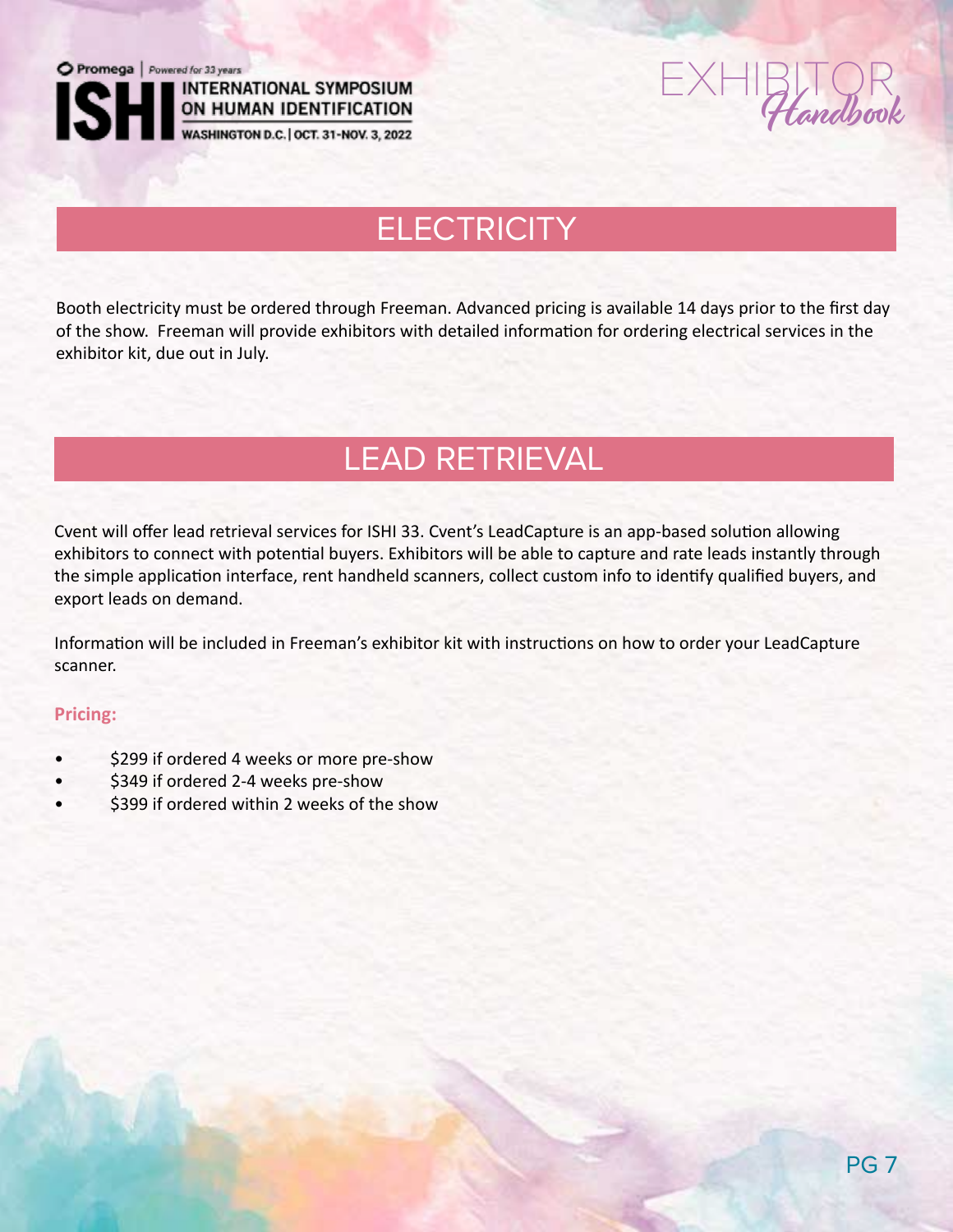Promega | Powered for 33 years

**INTERNATIONAL SYMPOSIUM** ON HUMAN IDENTIFICATION<br>WASHINGTON D.C. | OCT. 31-NOV. 3, 2022

# andhand

# **ELECTRICITY**

Booth electricity must be ordered through Freeman. Advanced pricing is available 14 days prior to the first day of the show. Freeman will provide exhibitors with detailed information for ordering electrical services in the exhibitor kit, due out in July.

# LEAD RETRIEVAL

Cvent will offer lead retrieval services for ISHI 33. Cvent's LeadCapture is an app-based solution allowing exhibitors to connect with potential buyers. Exhibitors will be able to capture and rate leads instantly through the simple application interface, rent handheld scanners, collect custom info to identify qualified buyers, and export leads on demand.

Information will be included in Freeman's exhibitor kit with instructions on how to order your LeadCapture scanner.

#### **Pricing:**

- \$299 if ordered 4 weeks or more pre-show
- \$349 if ordered 2-4 weeks pre-show
- \$399 if ordered within 2 weeks of the show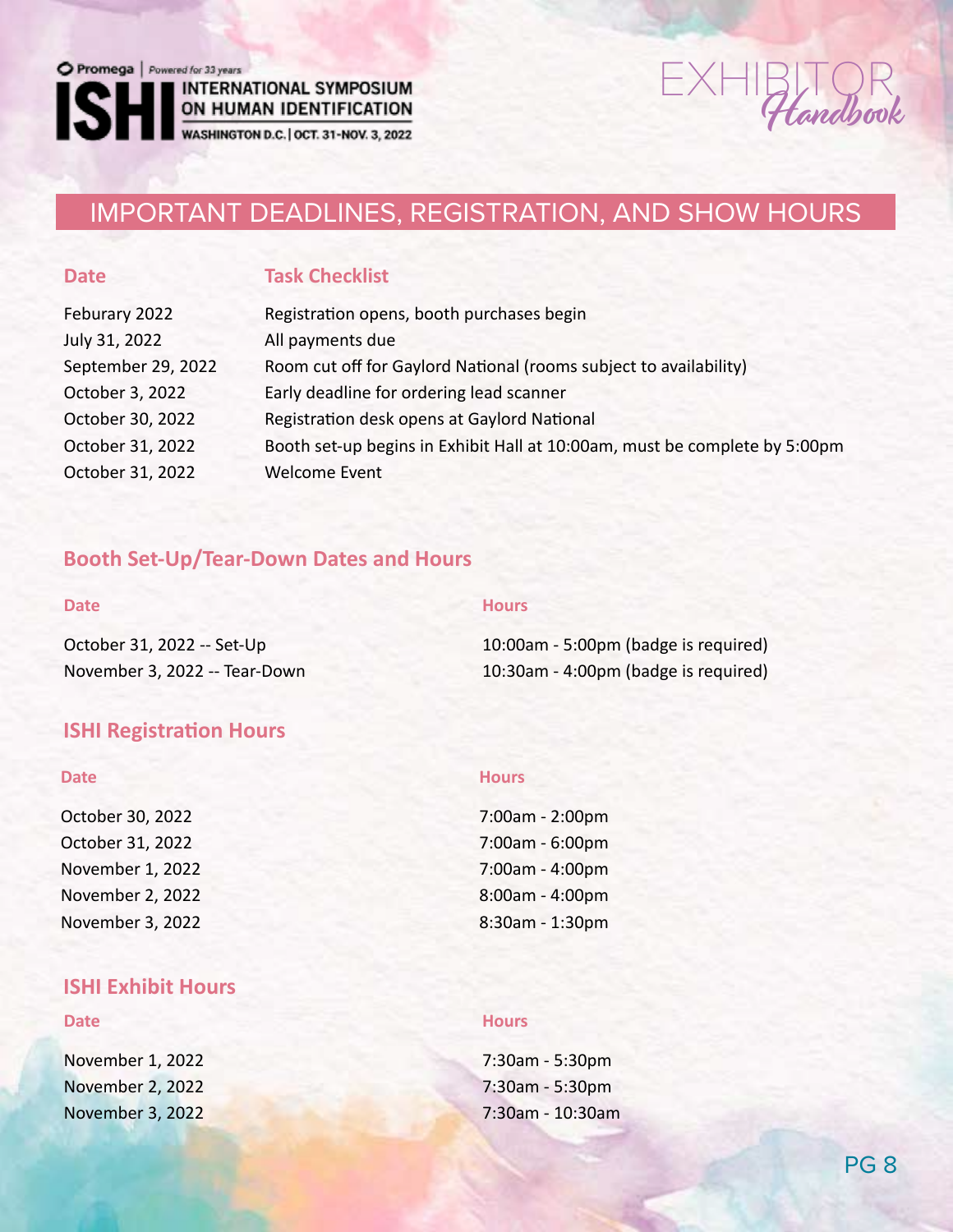ON HUMAN IDENTIFICATION

WASHINGTON D.C. | OCT. 31-NOV. 3, 2022

# $\leftarrow$ Handbook

## IMPORTANT DEADLINES, REGISTRATION, AND SHOW HOURS

#### **Date Task Checklist**

| Feburary 2022      | Registration opens, booth purchases begin                                  |
|--------------------|----------------------------------------------------------------------------|
| July 31, 2022      | All payments due                                                           |
| September 29, 2022 | Room cut off for Gaylord National (rooms subject to availability)          |
| October 3, 2022    | Early deadline for ordering lead scanner                                   |
| October 30, 2022   | Registration desk opens at Gaylord National                                |
| October 31, 2022   | Booth set-up begins in Exhibit Hall at 10:00am, must be complete by 5:00pm |
| October 31, 2022   | <b>Welcome Event</b>                                                       |
|                    |                                                                            |

#### **Booth Set-Up/Tear-Down Dates and Hours**

#### **Date Hours**

| 10:00am - 5:00pm (badge is required) |
|--------------------------------------|
| 10:30am - 4:00pm (badge is required) |
|                                      |

## **ISHI Registration Hours**

October 30, 2022 October 31, 2022 November 1, 2022 November 2, 2022 November 3, 2022

#### **ISHI Exhibit Hours**

November 1, 2022 7:30am - 5:30pm November 2, 2022 7:30am - 5:30pm November 3, 2022 7:30am - 10:30am

#### **Date Hours**

| 7:00am - 2:00pm |
|-----------------|
| 7:00am - 6:00pm |
| 7:00am - 4:00pm |
| 8:00am - 4:00pm |
| 8:30am - 1:30pm |

#### **Date Hours**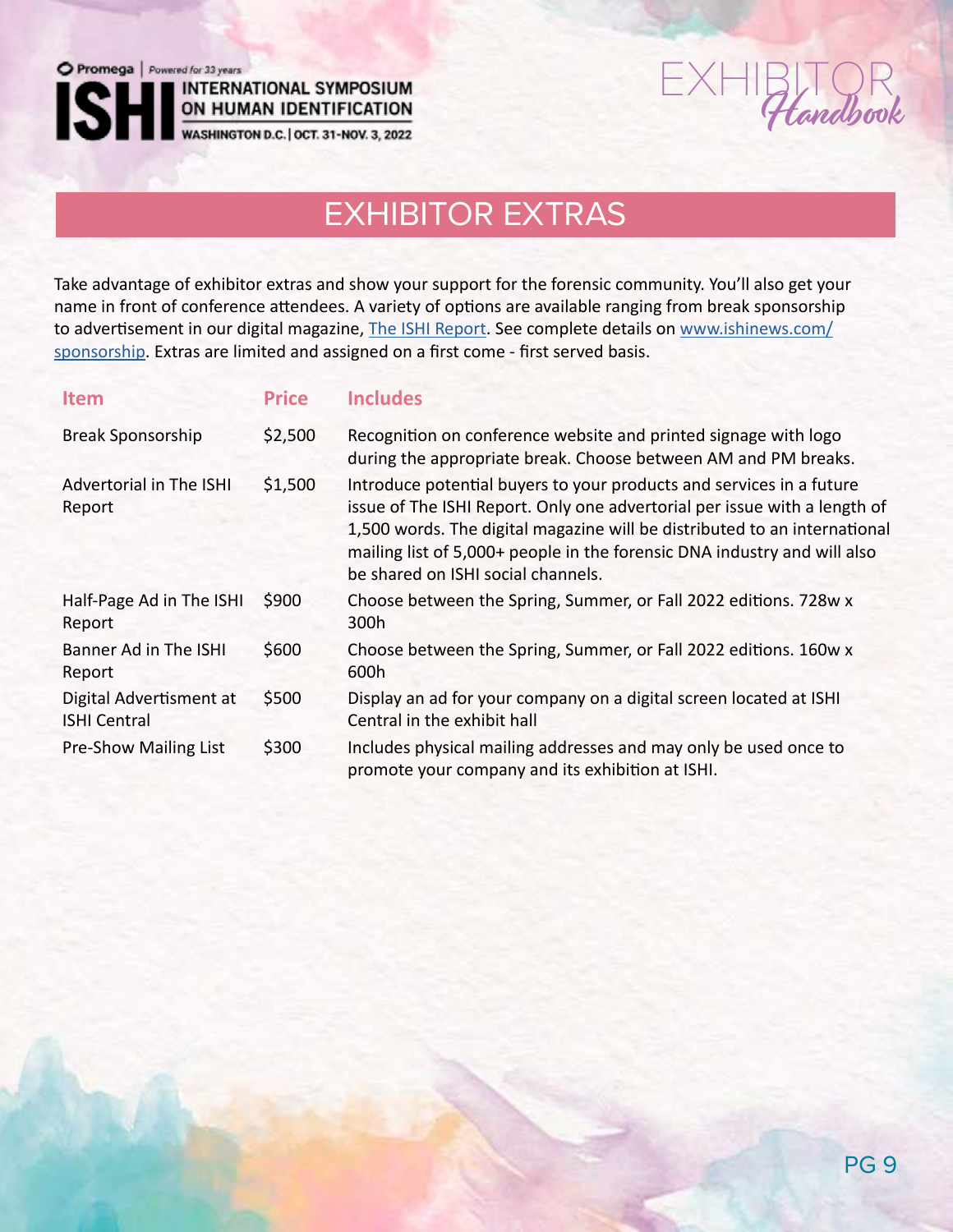**ON HUMAN IDENTIFICATION**<br>WASHINGTON D.C. | OCT. 31-NOV. 3, 2022

 $EXH$ BLI  $Q$ K

# EXHIBITOR EXTRAS

Take advantage of exhibitor extras and show your support for the forensic community. You'll also get your name in front of conference attendees. A variety of options are available ranging from break sponsorship to advertisement in our digital magazine, The ISHI Report. See complete details on www.ishinews.com/ sponsorship. Extras are limited and assigned on a first come - first served basis.

| <b>Item</b>                                    | <b>Price</b> | <b>Includes</b>                                                                                                                                                                                                                                                                                                                                  |
|------------------------------------------------|--------------|--------------------------------------------------------------------------------------------------------------------------------------------------------------------------------------------------------------------------------------------------------------------------------------------------------------------------------------------------|
| <b>Break Sponsorship</b>                       | \$2,500      | Recognition on conference website and printed signage with logo<br>during the appropriate break. Choose between AM and PM breaks.                                                                                                                                                                                                                |
| Advertorial in The ISHI<br>Report              | \$1,500      | Introduce potential buyers to your products and services in a future<br>issue of The ISHI Report. Only one advertorial per issue with a length of<br>1,500 words. The digital magazine will be distributed to an international<br>mailing list of 5,000+ people in the forensic DNA industry and will also<br>be shared on ISHI social channels. |
| Half-Page Ad in The ISHI<br>Report             | \$900        | Choose between the Spring, Summer, or Fall 2022 editions. 728w x<br>300h                                                                                                                                                                                                                                                                         |
| Banner Ad in The ISHI<br>Report                | \$600        | Choose between the Spring, Summer, or Fall 2022 editions. 160w x<br>600h                                                                                                                                                                                                                                                                         |
| Digital Advertisment at<br><b>ISHI Central</b> | \$500        | Display an ad for your company on a digital screen located at ISHI<br>Central in the exhibit hall                                                                                                                                                                                                                                                |
| <b>Pre-Show Mailing List</b>                   | \$300        | Includes physical mailing addresses and may only be used once to<br>promote your company and its exhibition at ISHI.                                                                                                                                                                                                                             |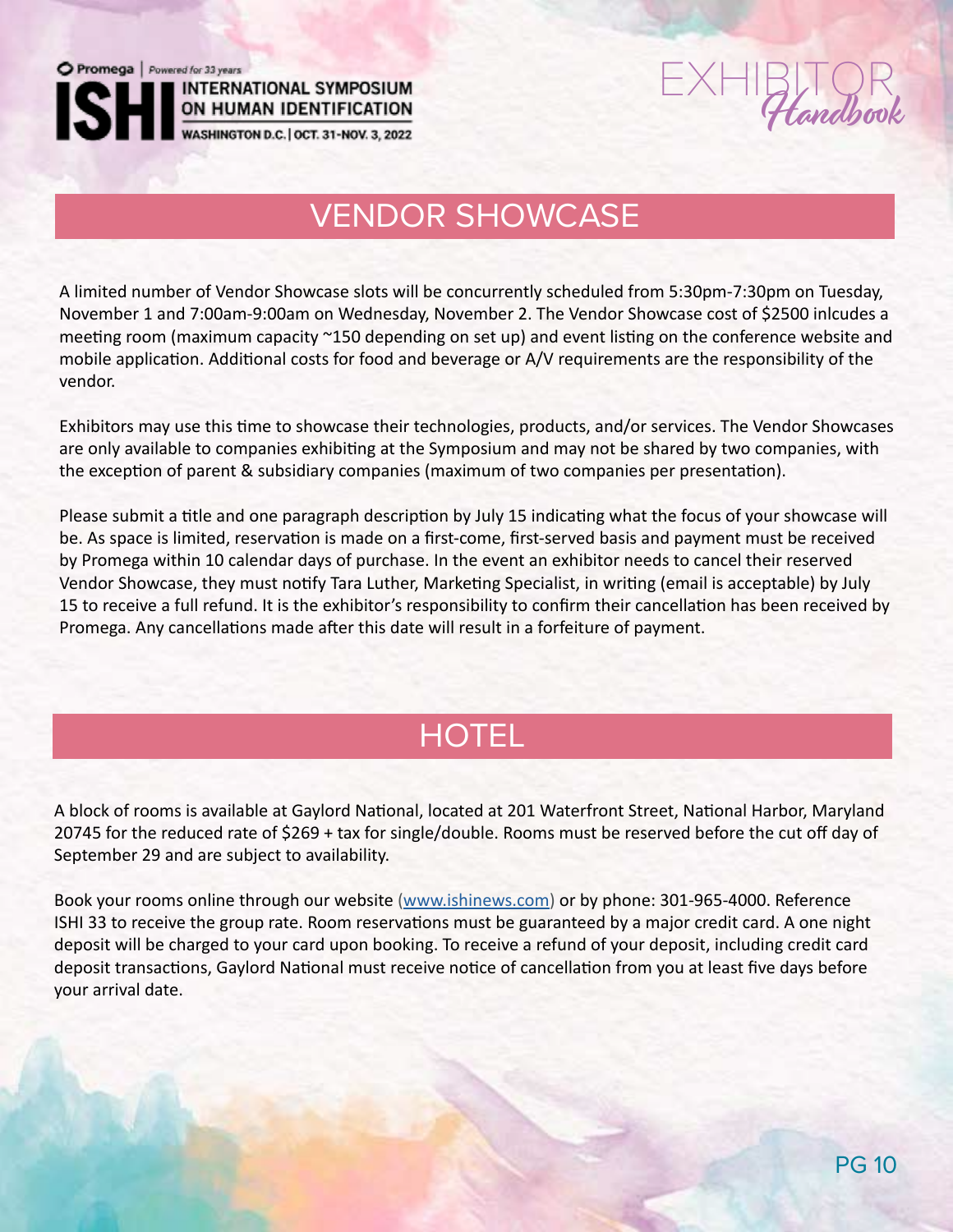ON HUMAN IDENTIFICATION<br>WASHINGTON D.C. | OCT. 31-NOV. 3, 2022

# $EXHIBITQR$

# VENDOR SHOWCASE

A limited number of Vendor Showcase slots will be concurrently scheduled from 5:30pm-7:30pm on Tuesday, November 1 and 7:00am-9:00am on Wednesday, November 2. The Vendor Showcase cost of \$2500 inlcudes a meeting room (maximum capacity ~150 depending on set up) and event listing on the conference website and mobile application. Additional costs for food and beverage or A/V requirements are the responsibility of the vendor.

Exhibitors may use this time to showcase their technologies, products, and/or services. The Vendor Showcases are only available to companies exhibiting at the Symposium and may not be shared by two companies, with the exception of parent & subsidiary companies (maximum of two companies per presentation).

Please submit a title and one paragraph description by July 15 indicating what the focus of your showcase will be. As space is limited, reservation is made on a first-come, first-served basis and payment must be received by Promega within 10 calendar days of purchase. In the event an exhibitor needs to cancel their reserved Vendor Showcase, they must notify Tara Luther, Marketing Specialist, in writing (email is acceptable) by July 15 to receive a full refund. It is the exhibitor's responsibility to confirm their cancellation has been received by Promega. Any cancellations made after this date will result in a forfeiture of payment.

# **HOTEL**

A block of rooms is available at Gaylord National, located at 201 Waterfront Street, National Harbor, Maryland 20745 for the reduced rate of \$269 + tax for single/double. Rooms must be reserved before the cut off day of September 29 and are subject to availability.

Book your rooms online through our website (www.ishinews.com) or by phone: 301-965-4000. Reference ISHI 33 to receive the group rate. Room reservations must be guaranteed by a major credit card. A one night deposit will be charged to your card upon booking. To receive a refund of your deposit, including credit card deposit transactions, Gaylord National must receive notice of cancellation from you at least five days before your arrival date.